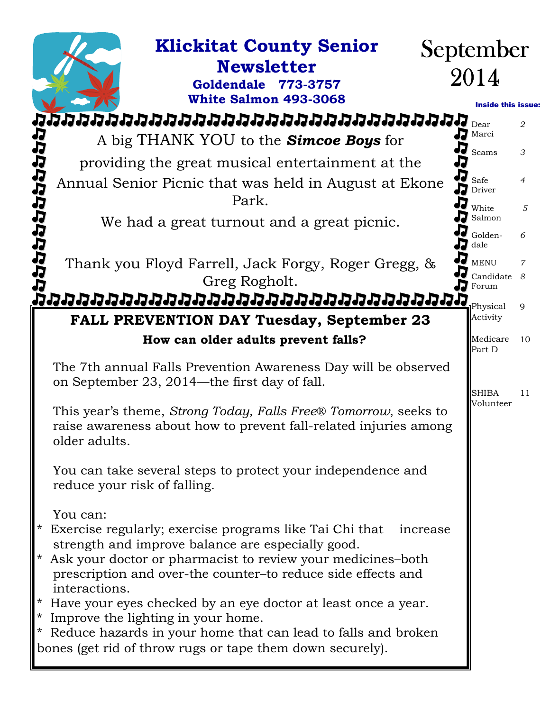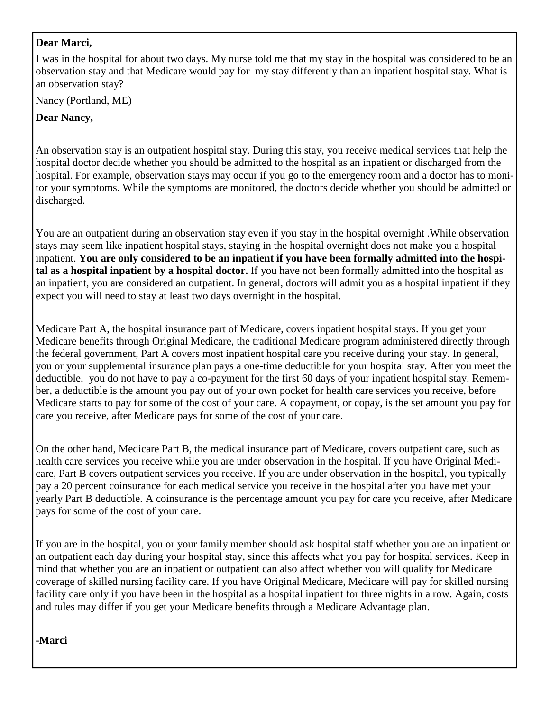#### **Dear Marci,**

I was in the hospital for about two days. My nurse told me that my stay in the hospital was considered to be an observation stay and that Medicare would pay for my stay differently than an inpatient hospital stay. What is an observation stay?

Nancy (Portland, ME)

#### **Dear Nancy,**

An observation stay is an outpatient hospital stay. During this stay, you receive medical services that help the hospital doctor decide whether you should be admitted to the hospital as an inpatient or discharged from the hospital. For example, observation stays may occur if you go to the emergency room and a doctor has to monitor your symptoms. While the symptoms are monitored, the doctors decide whether you should be admitted or discharged.

You are an outpatient during an observation stay even if you stay in the hospital overnight .While observation stays may seem like inpatient hospital stays, staying in the hospital overnight does not make you a hospital inpatient. **You are only considered to be an inpatient if you have been formally admitted into the hospital as a hospital inpatient by a hospital doctor.** If you have not been formally admitted into the hospital as an inpatient, you are considered an outpatient. In general, doctors will admit you as a hospital inpatient if they expect you will need to stay at least two days overnight in the hospital.

Medicare Part A, the hospital insurance part of Medicare, covers inpatient hospital stays. If you get your Medicare benefits through Original Medicare, the traditional Medicare program administered directly through the federal government, Part A covers most inpatient hospital care you receive during your stay. In general, you or your supplemental insurance plan pays a one-time deductible for your hospital stay. After you meet the deductible, you do not have to pay a co-payment for the first 60 days of your inpatient hospital stay. Remember, a deductible is the amount you pay out of your own pocket for health care services you receive, before Medicare starts to pay for some of the cost of your care. A copayment, or copay, is the set amount you pay for care you receive, after Medicare pays for some of the cost of your care.

On the other hand, Medicare Part B, the medical insurance part of Medicare, covers outpatient care, such as health care services you receive while you are under observation in the hospital. If you have Original Medicare, Part B covers outpatient services you receive. If you are under observation in the hospital, you typically pay a 20 percent coinsurance for each medical service you receive in the hospital after you have met your yearly Part B deductible. A coinsurance is the percentage amount you pay for care you receive, after Medicare pays for some of the cost of your care.

If you are in the hospital, you or your family member should ask hospital staff whether you are an inpatient or an outpatient each day during your hospital stay, since this affects what you pay for hospital services. Keep in mind that whether you are an inpatient or outpatient can also affect whether you will qualify for Medicare coverage of skilled nursing facility care. If you have Original Medicare, Medicare will pay for skilled nursing facility care only if you have been in the hospital as a hospital inpatient for three nights in a row. Again, costs and rules may differ if you get your Medicare benefits through a Medicare Advantage plan.

**-Marci**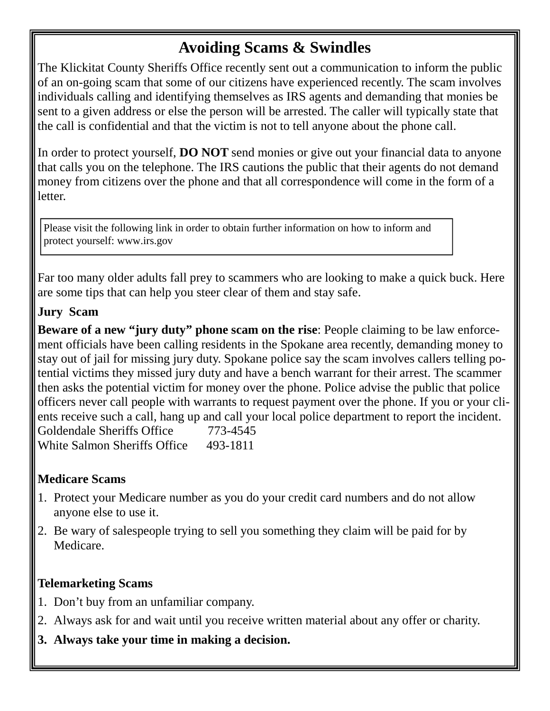## **Avoiding Scams & Swindles**

The Klickitat County Sheriffs Office recently sent out a communication to inform the public of an on-going scam that some of our citizens have experienced recently. The scam involves individuals calling and identifying themselves as IRS agents and demanding that monies be sent to a given address or else the person will be arrested. The caller will typically state that the call is confidential and that the victim is not to tell anyone about the phone call.

In order to protect yourself, **DO NOT** send monies or give out your financial data to anyone that calls you on the telephone. The IRS cautions the public that their agents do not demand money from citizens over the phone and that all correspondence will come in the form of a letter.

Please visit the following link in order to obtain further information on how to inform and protect yourself: www.irs.gov

Far too many older adults fall prey to scammers who are looking to make a quick buck. Here are some tips that can help you steer clear of them and stay safe.

### **Jury Scam**

**Beware of a new "jury duty" phone scam on the rise**: People claiming to be law enforcement officials have been calling residents in the Spokane area recently, demanding money to stay out of jail for missing jury duty. Spokane police say the scam involves callers telling potential victims they missed jury duty and have a bench warrant for their arrest. The scammer then asks the potential victim for money over the phone. Police advise the public that police officers never call people with warrants to request payment over the phone. If you or your clients receive such a call, hang up and call your local police department to report the incident. Goldendale Sheriffs Office 773-4545 White Salmon Sheriffs Office 493-1811

### **Medicare Scams**

- 1. Protect your Medicare number as you do your credit card numbers and do not allow anyone else to use it.
- 2. Be wary of salespeople trying to sell you something they claim will be paid for by Medicare.

### **Telemarketing Scams**

- 1. Don't buy from an unfamiliar company.
- 2. Always ask for and wait until you receive written material about any offer or charity.
- **3. Always take your time in making a decision.**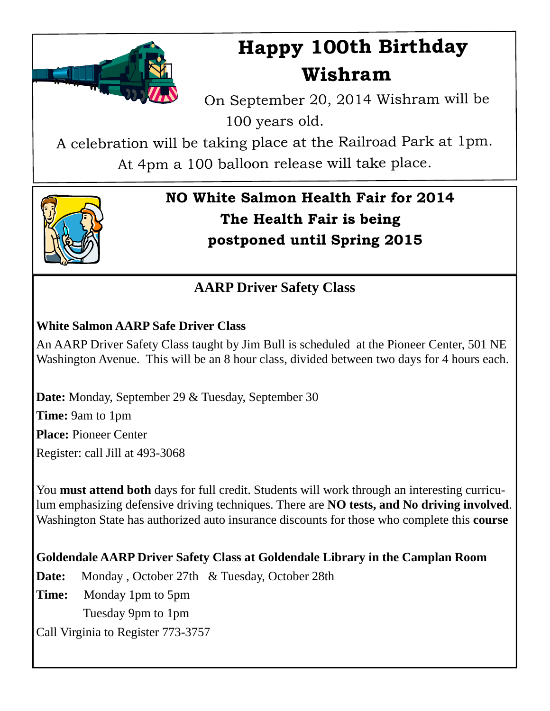

## **Happy 100th Birthday Wishram**

On September 20, <sup>2014</sup> Wishram will be 100 years old.

A celebration will be taking <sup>p</sup>lace at the Railroad Park at 1pm.

At 4pm <sup>a</sup> <sup>100</sup> balloon release will take <sup>p</sup>lace.



## **NO White Salmon Health Fair for 2014 The Health Fair is being postponed until Spring 2015**

## **AARP Driver Safety Class**

## **White Salmon AARP Safe Driver Class**

An AARP Driver Safety Class taught by Jim Bull is scheduled at the Pioneer Center, 501 NE Washington Avenue. This will be an 8 hour class, divided between two days for 4 hours each.

**Date:** Monday, September 29 & Tuesday, September 30 **Time:** 9am to 1pm **Place:** Pioneer Center Register: call Jill at 493-3068

You **must attend both** days for full credit. Students will work through an interesting curriculum emphasizing defensive driving techniques. There are **NO tests, and No driving involved**. Washington State has authorized auto insurance discounts for those who complete this **course**

**Goldendale AARP Driver Safety Class at Goldendale Library in the Camplan Room** 

**Date:** Monday , October 27th & Tuesday, October 28th **Time:** Monday 1pm to 5pm Tuesday 9pm to 1pm Call Virginia to Register 773-3757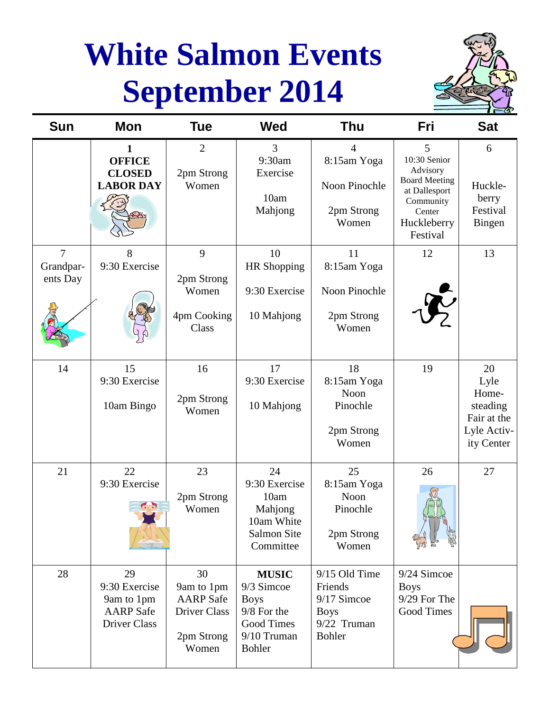## **White Salmon Events September 2014**



| Sun                                     | Mon                                                                   | Tue                                                                                | <b>Wed</b>                                                                                             | Thu                                                                                    | Fri                                                                                                                      | <b>Sat</b>                                                                  |
|-----------------------------------------|-----------------------------------------------------------------------|------------------------------------------------------------------------------------|--------------------------------------------------------------------------------------------------------|----------------------------------------------------------------------------------------|--------------------------------------------------------------------------------------------------------------------------|-----------------------------------------------------------------------------|
|                                         | 1<br><b>OFFICE</b><br><b>CLOSED</b><br><b>LABOR DAY</b>               | $\mathbf{2}$<br>2pm Strong<br>Women                                                | 3<br>9:30am<br>Exercise<br>10am<br>Mahjong                                                             | 4<br>8:15am Yoga<br>Noon Pinochle<br>2pm Strong<br>Women                               | 5<br>10:30 Senior<br>Advisory<br><b>Board Meeting</b><br>at Dallesport<br>Community<br>Center<br>Huckleberry<br>Festival | 6<br>Huckle-<br>berry<br>Festival<br>Bingen                                 |
| $\overline{7}$<br>Grandpar-<br>ents Day | 8<br>9:30 Exercise                                                    | 9<br>2pm Strong<br>Women<br>4pm Cooking<br>Class                                   | 10<br><b>HR</b> Shopping<br>9:30 Exercise<br>10 Mahjong                                                | 11<br>8:15am Yoga<br>Noon Pinochle<br>2pm Strong<br>Women                              | 12                                                                                                                       | 13                                                                          |
| 14                                      | 15<br>9:30 Exercise<br>10am Bingo                                     | 16<br>2pm Strong<br>Women                                                          | 17<br>9:30 Exercise<br>10 Mahjong                                                                      | 18<br>8:15am Yoga<br>Noon<br>Pinochle<br>2pm Strong<br>Women                           | 19                                                                                                                       | 20<br>Lyle<br>Home-<br>steading<br>Fair at the<br>Lyle Activ-<br>ity Center |
| 21                                      | 22<br>9:30 Exercise<br>C                                              | 23<br>2pm Strong<br>Women                                                          | 24<br>9:30 Exercise<br>10am<br>Mahjong<br>10am White<br><b>Salmon Site</b><br>Committee                | 25<br>8:15am Yoga<br>Noon<br>Pinochle<br>2pm Strong<br>Women                           | 26                                                                                                                       | 27                                                                          |
| 28                                      | 29<br>9:30 Exercise<br>9am to 1pm<br><b>AARP</b> Safe<br>Driver Class | 30<br>9am to 1pm<br><b>AARP</b> Safe<br><b>Driver Class</b><br>2pm Strong<br>Women | <b>MUSIC</b><br>9/3 Simcoe<br><b>Boys</b><br>9/8 For the<br>Good Times<br>9/10 Truman<br><b>Bohler</b> | 9/15 Old Time<br>Friends<br>9/17 Simcoe<br><b>Boys</b><br>9/22 Truman<br><b>Bohler</b> | 9/24 Simcoe<br><b>Boys</b><br>9/29 For The<br>Good Times                                                                 |                                                                             |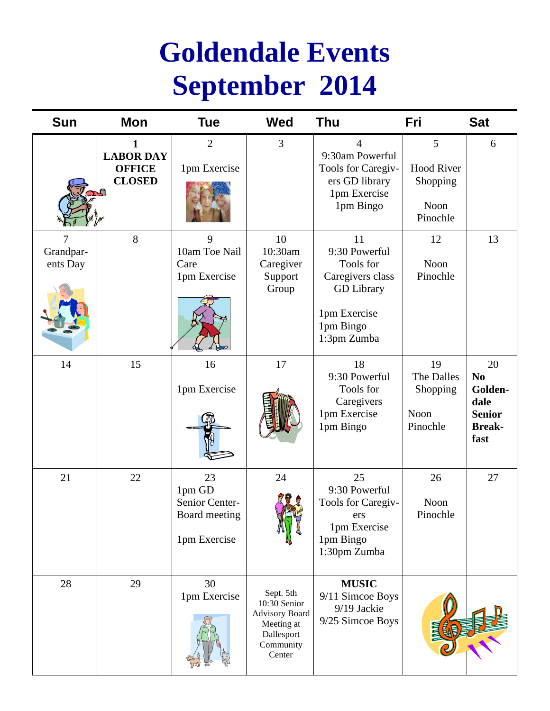## **Goldendale Events September 2014**

| Sun                   | <b>Mon</b>                                              | <b>Tue</b>                                                      | Wed                                                                                                   | Thu                                                                                                                   | Fri                                                    | <b>Sat</b>                                                                        |
|-----------------------|---------------------------------------------------------|-----------------------------------------------------------------|-------------------------------------------------------------------------------------------------------|-----------------------------------------------------------------------------------------------------------------------|--------------------------------------------------------|-----------------------------------------------------------------------------------|
|                       | 1<br><b>LABOR DAY</b><br><b>OFFICE</b><br><b>CLOSED</b> | $\overline{2}$<br>1pm Exercise                                  | $\mathfrak{Z}$                                                                                        | 4<br>9:30am Powerful<br>Tools for Caregiv-<br>ers GD library<br>1pm Exercise<br>1pm Bingo                             | 5<br><b>Hood River</b><br>Shopping<br>Noon<br>Pinochle | 6                                                                                 |
| Grandpar-<br>ents Day | 8                                                       | 9<br>10am Toe Nail<br>Care<br>1pm Exercise                      | 10<br>10:30am<br>Caregiver<br>Support<br>Group                                                        | 11<br>9:30 Powerful<br>Tools for<br>Caregivers class<br><b>GD</b> Library<br>1pm Exercise<br>1pm Bingo<br>1:3pm Zumba | 12<br>Noon<br>Pinochle                                 | 13                                                                                |
| 14                    | 15                                                      | 16<br>1pm Exercise                                              | 17                                                                                                    | 18<br>9:30 Powerful<br>Tools for<br>Caregivers<br>1pm Exercise<br>1pm Bingo                                           | 19<br>The Dalles<br>Shopping<br>Noon<br>Pinochle       | 20<br>N <sub>o</sub><br>Golden-<br>dale<br><b>Senior</b><br><b>Break-</b><br>fast |
| 21                    | 22                                                      | 23<br>1pm GD<br>Senior Center-<br>Board meeting<br>1pm Exercise | 24                                                                                                    | 25<br>9:30 Powerful<br>Tools for Caregiv-<br>ers<br>1pm Exercise<br>1pm Bingo<br>1:30pm Zumba                         | 26<br>Noon<br>Pinochle                                 | 27                                                                                |
| 28                    | 29                                                      | 30<br>1pm Exercise                                              | Sept. 5th<br>10:30 Senior<br><b>Advisory Board</b><br>Meeting at<br>Dallesport<br>Community<br>Center | <b>MUSIC</b><br>9/11 Simcoe Boys<br>9/19 Jackie<br>9/25 Simcoe Boys                                                   |                                                        |                                                                                   |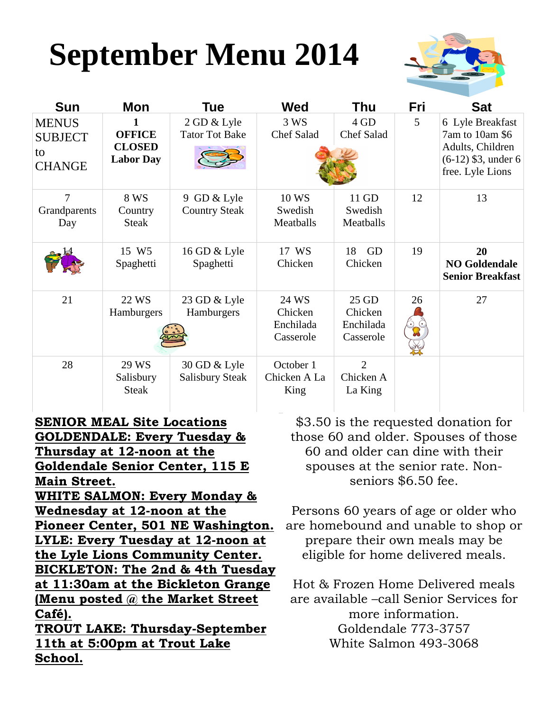# **September Menu 2014**



| <b>Sun</b>                                            | Mon                                                     | Tue                                    | <b>Wed</b>                                 | Thu                                        | Fri | <b>Sat</b>                                                                                           |
|-------------------------------------------------------|---------------------------------------------------------|----------------------------------------|--------------------------------------------|--------------------------------------------|-----|------------------------------------------------------------------------------------------------------|
| <b>MENUS</b><br><b>SUBJECT</b><br>to<br><b>CHANGE</b> | 1<br><b>OFFICE</b><br><b>CLOSED</b><br><b>Labor Day</b> | 2 GD & Lyle<br><b>Tator Tot Bake</b>   | 3 WS<br><b>Chef Salad</b>                  | 4 GD<br><b>Chef Salad</b>                  | 5   | 6 Lyle Breakfast<br>7am to 10am \$6<br>Adults, Children<br>$(6-12)$ \$3, under 6<br>free. Lyle Lions |
| 7<br>Grandparents<br>Day                              | 8 WS<br>Country<br><b>Steak</b>                         | 9 GD & Lyle<br><b>Country Steak</b>    | 10 WS<br>Swedish<br>Meatballs              | 11 GD<br>Swedish<br>Meatballs              | 12  | 13                                                                                                   |
|                                                       | 15 W <sub>5</sub><br>Spaghetti                          | 16 GD & Lyle<br>Spaghetti              | 17 WS<br>Chicken                           | GD<br>18<br>Chicken                        | 19  | 20<br><b>NO Goldendale</b><br><b>Senior Breakfast</b>                                                |
| 21                                                    | 22 WS<br>Hamburgers                                     | 23 GD & Lyle<br>Hamburgers             | 24 WS<br>Chicken<br>Enchilada<br>Casserole | 25 GD<br>Chicken<br>Enchilada<br>Casserole | 26  | 27                                                                                                   |
| 28                                                    | 29 WS<br>Salisbury<br><b>Steak</b>                      | 30 GD & Lyle<br><b>Salisbury Steak</b> | October 1<br>Chicken A La<br>King          | $\overline{2}$<br>Chicken A<br>La King     |     |                                                                                                      |

**SENIOR MEAL Site Locations GOLDENDALE: Every Tuesday & Thursday at 12-noon at the Goldendale Senior Center, 115 E Main Street.**

**WHITE SALMON: Every Monday & Wednesday at 12-noon at the Pioneer Center, 501 NE Washington. LYLE: Every Tuesday at 12-noon at the Lyle Lions Community Center. BICKLETON: The 2nd & 4th Tuesday at 11:30am at the Bickleton Grange (Menu posted @ the Market Street Café).**

**TROUT LAKE: Thursday-September 11th at 5:00pm at Trout Lake School.**

\$3.50 is the requested donation for those 60 and older. Spouses of those 60 and older can dine with their spouses at the senior rate. Nonseniors \$6.50 fee.

Persons 60 years of age or older who are homebound and unable to shop or prepare their own meals may be eligible for home delivered meals.

Hot & Frozen Home Delivered meals are available –call Senior Services for more information. Goldendale 773-3757 White Salmon 493-3068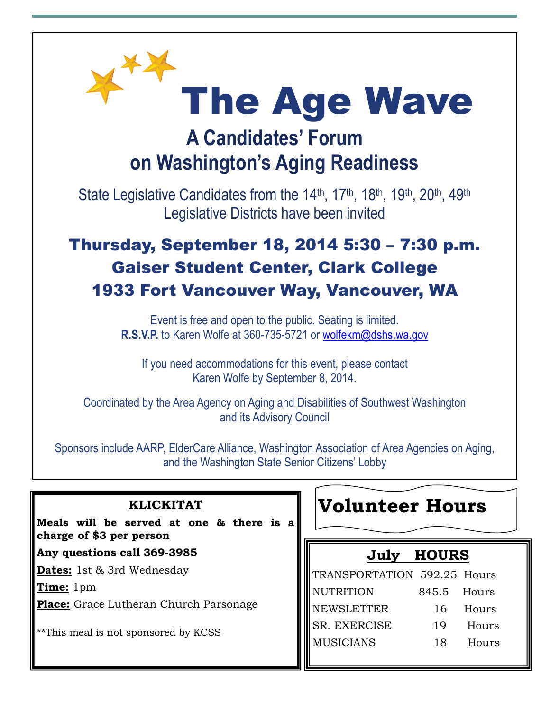

## **A Candidates' Forum on Washington's Aging Readiness**

State Legislative Candidates from the 14<sup>th</sup>, 17<sup>th</sup>, 18<sup>th</sup>, 19<sup>th</sup>, 20<sup>th</sup>, 49<sup>th</sup> Legislative Districts have been invited

## Thursday, September 18, 2014 5:30 – 7:30 p.m. Gaiser Student Center, Clark College 1933 Fort Vancouver Way, Vancouver, WA

Event is free and open to the public. Seating is limited. **R.S.V.P.** to Karen Wolfe at 360-735-5721 or wolfekm@dshs.wa.gov

If you need accommodations for this event, please contact Karen Wolfe by September 8, 2014.

Coordinated by the Area Agency on Aging and Disabilities of Southwest Washington and its Advisory Council

Sponsors include AARP, ElderCare Alliance, Washington Association of Area Agencies on Aging, and the Washington State Senior Citizens' Lobby

| <b>KLICKITAT</b><br>Meals will be served at one & there is a | <b>Volunteer Hours</b>             |  |  |  |
|--------------------------------------------------------------|------------------------------------|--|--|--|
| charge of \$3 per person                                     |                                    |  |  |  |
| Any questions call 369-3985                                  | <b>HOURS</b><br>July               |  |  |  |
| <b>Dates:</b> 1st & 3rd Wednesday                            | TRANSPORTATION 592.25 Hours        |  |  |  |
| Time: 1pm                                                    | <b>NUTRITION</b><br>845.5<br>Hours |  |  |  |
| <b>Place:</b> Grace Lutheran Church Parsonage                | <b>NEWSLETTER</b><br>16<br>Hours   |  |  |  |
| **This meal is not sponsored by KCSS                         | SR. EXERCISE<br>19<br>Hours        |  |  |  |
|                                                              | <b>MUSICIANS</b><br>18<br>Hours    |  |  |  |
|                                                              |                                    |  |  |  |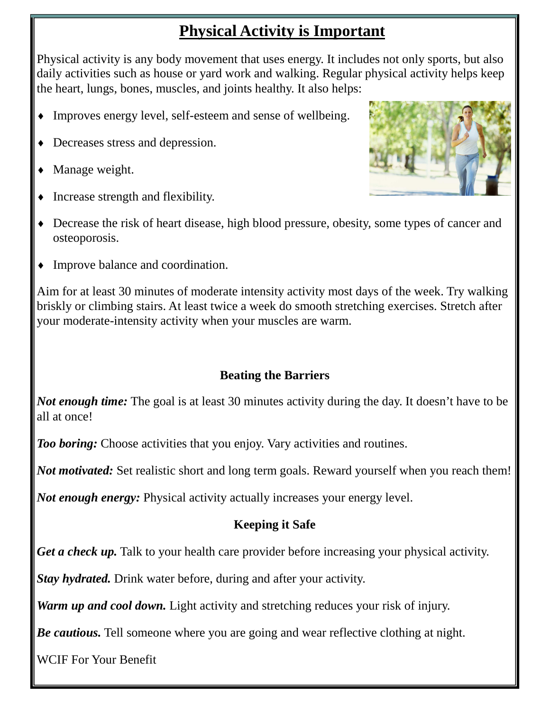## **Physical Activity is Important**

Physical activity is any body movement that uses energy. It includes not only sports, but also daily activities such as house or yard work and walking. Regular physical activity helps keep the heart, lungs, bones, muscles, and joints healthy. It also helps:

- Improves energy level, self-esteem and sense of wellbeing.
- Decreases stress and depression.
- Manage weight.
- Increase strength and flexibility.
- Decrease the risk of heart disease, high blood pressure, obesity, some types of cancer and osteoporosis.
- Improve balance and coordination.

Aim for at least 30 minutes of moderate intensity activity most days of the week. Try walking briskly or climbing stairs. At least twice a week do smooth stretching exercises. Stretch after your moderate-intensity activity when your muscles are warm.

## **Beating the Barriers**

*Not enough time:* The goal is at least 30 minutes activity during the day. It doesn't have to be all at once!

*Too boring:* Choose activities that you enjoy. Vary activities and routines.

*Not motivated:* Set realistic short and long term goals. Reward yourself when you reach them!

*Not enough energy:* Physical activity actually increases your energy level.

## **Keeping it Safe**

*Get a check up.* Talk to your health care provider before increasing your physical activity.

*Stay hydrated.* Drink water before, during and after your activity.

*Warm up and cool down.* Light activity and stretching reduces your risk of injury.

*Be cautious.* Tell someone where you are going and wear reflective clothing at night.

WCIF For Your Benefit

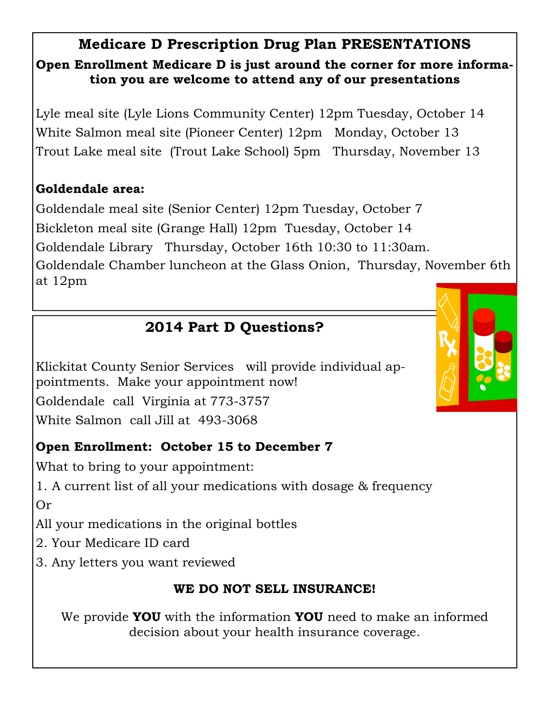## **Medicare D Prescription Drug Plan PRESENTATIONS Open Enrollment Medicare D is just around the corner for more information you are welcome to attend any of our presentations**

Lyle meal site (Lyle Lions Community Center) 12pm Tuesday, October 14 White Salmon meal site (Pioneer Center) 12pm Monday, October 13 Trout Lake meal site (Trout Lake School) 5pm Thursday, November 13

## **Goldendale area:**

Goldendale meal site (Senior Center) 12pm Tuesday, October 7 Bickleton meal site (Grange Hall) 12pm Tuesday, October 14 Goldendale Library Thursday, October 16th 10:30 to 11:30am. Goldendale Chamber luncheon at the Glass Onion, Thursday, November 6th at 12pm

## **2014 Part D Questions?**

Klickitat County Senior Services will provide individual appointments. Make your appointment now! Goldendale call Virginia at 773-3757 White Salmon call Jill at 493-3068

## **Open Enrollment: October 15 to December 7**

What to bring to your appointment:

1. A current list of all your medications with dosage & frequency Or

All your medications in the original bottles

- 2. Your Medicare ID card
- 3. Any letters you want reviewed

## **WE DO NOT SELL INSURANCE!**

We provide **YOU** with the information **YOU** need to make an informed decision about your health insurance coverage.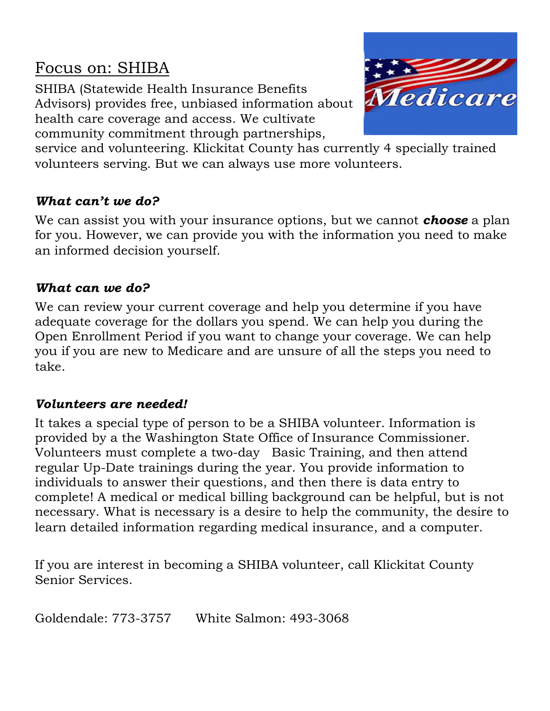## Focus on: SHIBA

SHIBA (Statewide Health Insurance Benefits Advisors) provides free, unbiased information about health care coverage and access. We cultivate community commitment through partnerships,



service and volunteering. Klickitat County has currently 4 specially trained volunteers serving. But we can always use more volunteers.

## *What can't we do?*

We can assist you with your insurance options, but we cannot *choose* a plan for you. However, we can provide you with the information you need to make an informed decision yourself.

#### *What can we do?*

We can review your current coverage and help you determine if you have adequate coverage for the dollars you spend. We can help you during the Open Enrollment Period if you want to change your coverage. We can help you if you are new to Medicare and are unsure of all the steps you need to take.

### *Volunteers are needed!*

It takes a special type of person to be a SHIBA volunteer. Information is provided by a the Washington State Office of Insurance Commissioner. Volunteers must complete a two-day Basic Training, and then attend regular Up-Date trainings during the year. You provide information to individuals to answer their questions, and then there is data entry to complete! A medical or medical billing background can be helpful, but is not necessary. What is necessary is a desire to help the community, the desire to learn detailed information regarding medical insurance, and a computer.

If you are interest in becoming a SHIBA volunteer, call Klickitat County Senior Services.

Goldendale: 773-3757 White Salmon: 493-3068